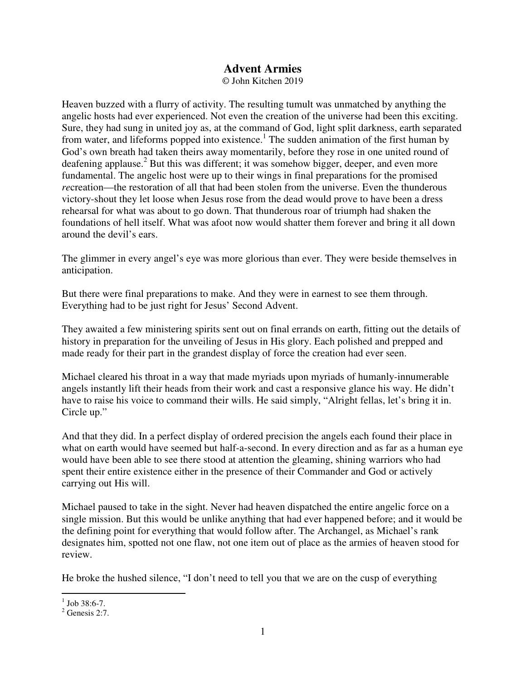## **Advent Armies**

© John Kitchen 2019

Heaven buzzed with a flurry of activity. The resulting tumult was unmatched by anything the angelic hosts had ever experienced. Not even the creation of the universe had been this exciting. Sure, they had sung in united joy as, at the command of God, light split darkness, earth separated from water, and lifeforms popped into existence.<sup>1</sup> The sudden animation of the first human by God's own breath had taken theirs away momentarily, before they rose in one united round of deafening applause.<sup>2</sup> But this was different; it was somehow bigger, deeper, and even more fundamental. The angelic host were up to their wings in final preparations for the promised *re*creation—the restoration of all that had been stolen from the universe. Even the thunderous victory-shout they let loose when Jesus rose from the dead would prove to have been a dress rehearsal for what was about to go down. That thunderous roar of triumph had shaken the foundations of hell itself. What was afoot now would shatter them forever and bring it all down around the devil's ears.

The glimmer in every angel's eye was more glorious than ever. They were beside themselves in anticipation.

But there were final preparations to make. And they were in earnest to see them through. Everything had to be just right for Jesus' Second Advent.

They awaited a few ministering spirits sent out on final errands on earth, fitting out the details of history in preparation for the unveiling of Jesus in His glory. Each polished and prepped and made ready for their part in the grandest display of force the creation had ever seen.

Michael cleared his throat in a way that made myriads upon myriads of humanly-innumerable angels instantly lift their heads from their work and cast a responsive glance his way. He didn't have to raise his voice to command their wills. He said simply, "Alright fellas, let's bring it in. Circle up."

And that they did. In a perfect display of ordered precision the angels each found their place in what on earth would have seemed but half-a-second. In every direction and as far as a human eye would have been able to see there stood at attention the gleaming, shining warriors who had spent their entire existence either in the presence of their Commander and God or actively carrying out His will.

Michael paused to take in the sight. Never had heaven dispatched the entire angelic force on a single mission. But this would be unlike anything that had ever happened before; and it would be the defining point for everything that would follow after. The Archangel, as Michael's rank designates him, spotted not one flaw, not one item out of place as the armies of heaven stood for review.

He broke the hushed silence, "I don't need to tell you that we are on the cusp of everything

 $\frac{1}{1}$  Job 38:6-7.

 $<sup>2</sup>$  Genesis 2:7.</sup>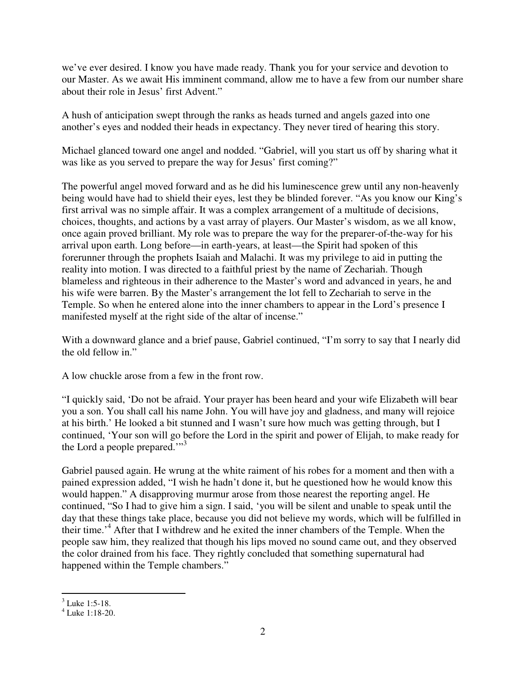we've ever desired. I know you have made ready. Thank you for your service and devotion to our Master. As we await His imminent command, allow me to have a few from our number share about their role in Jesus' first Advent."

A hush of anticipation swept through the ranks as heads turned and angels gazed into one another's eyes and nodded their heads in expectancy. They never tired of hearing this story.

Michael glanced toward one angel and nodded. "Gabriel, will you start us off by sharing what it was like as you served to prepare the way for Jesus' first coming?"

The powerful angel moved forward and as he did his luminescence grew until any non-heavenly being would have had to shield their eyes, lest they be blinded forever. "As you know our King's first arrival was no simple affair. It was a complex arrangement of a multitude of decisions, choices, thoughts, and actions by a vast array of players. Our Master's wisdom, as we all know, once again proved brilliant. My role was to prepare the way for the preparer-of-the-way for his arrival upon earth. Long before—in earth-years, at least—the Spirit had spoken of this forerunner through the prophets Isaiah and Malachi. It was my privilege to aid in putting the reality into motion. I was directed to a faithful priest by the name of Zechariah. Though blameless and righteous in their adherence to the Master's word and advanced in years, he and his wife were barren. By the Master's arrangement the lot fell to Zechariah to serve in the Temple. So when he entered alone into the inner chambers to appear in the Lord's presence I manifested myself at the right side of the altar of incense."

With a downward glance and a brief pause, Gabriel continued, "I'm sorry to say that I nearly did the old fellow in."

A low chuckle arose from a few in the front row.

"I quickly said, 'Do not be afraid. Your prayer has been heard and your wife Elizabeth will bear you a son. You shall call his name John. You will have joy and gladness, and many will rejoice at his birth.' He looked a bit stunned and I wasn't sure how much was getting through, but I continued, 'Your son will go before the Lord in the spirit and power of Elijah, to make ready for the Lord a people prepared."<sup>3</sup>

Gabriel paused again. He wrung at the white raiment of his robes for a moment and then with a pained expression added, "I wish he hadn't done it, but he questioned how he would know this would happen." A disapproving murmur arose from those nearest the reporting angel. He continued, "So I had to give him a sign. I said, 'you will be silent and unable to speak until the day that these things take place, because you did not believe my words, which will be fulfilled in their time.<sup>4</sup> After that I withdrew and he exited the inner chambers of the Temple. When the people saw him, they realized that though his lips moved no sound came out, and they observed the color drained from his face. They rightly concluded that something supernatural had happened within the Temple chambers."

<sup>&</sup>lt;sup>3</sup> Luke 1:5-18.

<sup>4</sup> Luke 1:18-20.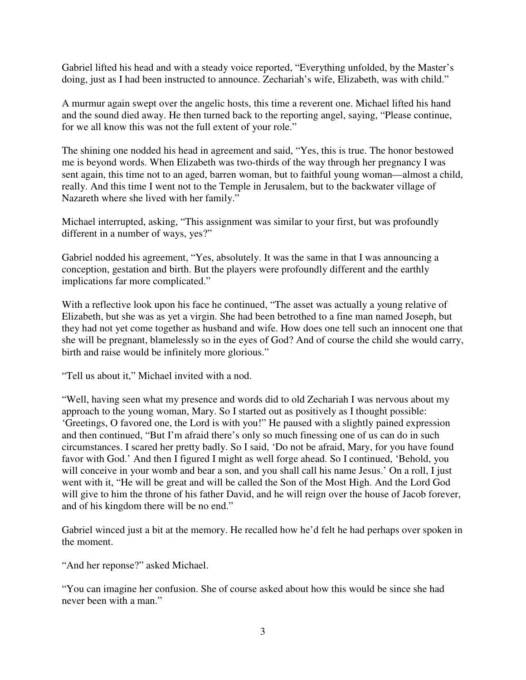Gabriel lifted his head and with a steady voice reported, "Everything unfolded, by the Master's doing, just as I had been instructed to announce. Zechariah's wife, Elizabeth, was with child."

A murmur again swept over the angelic hosts, this time a reverent one. Michael lifted his hand and the sound died away. He then turned back to the reporting angel, saying, "Please continue, for we all know this was not the full extent of your role."

The shining one nodded his head in agreement and said, "Yes, this is true. The honor bestowed me is beyond words. When Elizabeth was two-thirds of the way through her pregnancy I was sent again, this time not to an aged, barren woman, but to faithful young woman—almost a child, really. And this time I went not to the Temple in Jerusalem, but to the backwater village of Nazareth where she lived with her family."

Michael interrupted, asking, "This assignment was similar to your first, but was profoundly different in a number of ways, yes?"

Gabriel nodded his agreement, "Yes, absolutely. It was the same in that I was announcing a conception, gestation and birth. But the players were profoundly different and the earthly implications far more complicated."

With a reflective look upon his face he continued, "The asset was actually a young relative of Elizabeth, but she was as yet a virgin. She had been betrothed to a fine man named Joseph, but they had not yet come together as husband and wife. How does one tell such an innocent one that she will be pregnant, blamelessly so in the eyes of God? And of course the child she would carry, birth and raise would be infinitely more glorious."

"Tell us about it," Michael invited with a nod.

"Well, having seen what my presence and words did to old Zechariah I was nervous about my approach to the young woman, Mary. So I started out as positively as I thought possible: 'Greetings, O favored one, the Lord is with you!" He paused with a slightly pained expression and then continued, "But I'm afraid there's only so much finessing one of us can do in such circumstances. I scared her pretty badly. So I said, 'Do not be afraid, Mary, for you have found favor with God.' And then I figured I might as well forge ahead. So I continued, 'Behold, you will conceive in your womb and bear a son, and you shall call his name Jesus.' On a roll, I just went with it, "He will be great and will be called the Son of the Most High. And the Lord God will give to him the throne of his father David, and he will reign over the house of Jacob forever, and of his kingdom there will be no end."

Gabriel winced just a bit at the memory. He recalled how he'd felt he had perhaps over spoken in the moment.

"And her reponse?" asked Michael.

"You can imagine her confusion. She of course asked about how this would be since she had never been with a man."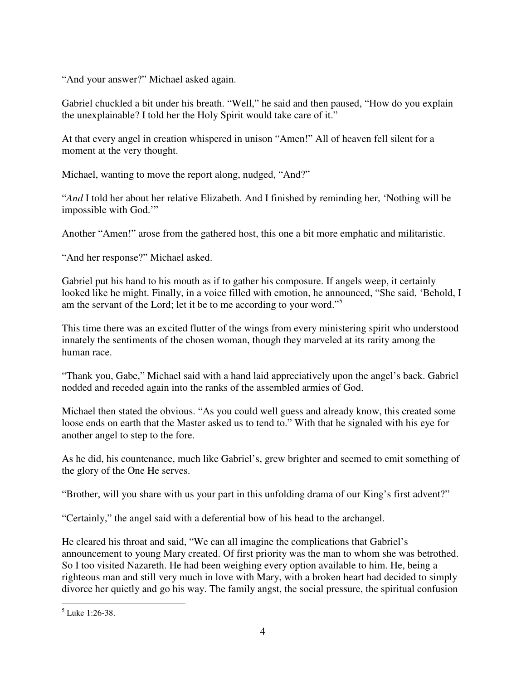"And your answer?" Michael asked again.

Gabriel chuckled a bit under his breath. "Well," he said and then paused, "How do you explain the unexplainable? I told her the Holy Spirit would take care of it."

At that every angel in creation whispered in unison "Amen!" All of heaven fell silent for a moment at the very thought.

Michael, wanting to move the report along, nudged, "And?"

"*And* I told her about her relative Elizabeth. And I finished by reminding her, 'Nothing will be impossible with God.'"

Another "Amen!" arose from the gathered host, this one a bit more emphatic and militaristic.

"And her response?" Michael asked.

Gabriel put his hand to his mouth as if to gather his composure. If angels weep, it certainly looked like he might. Finally, in a voice filled with emotion, he announced, "She said, 'Behold, I am the servant of the Lord; let it be to me according to your word."<sup>5</sup>

This time there was an excited flutter of the wings from every ministering spirit who understood innately the sentiments of the chosen woman, though they marveled at its rarity among the human race.

"Thank you, Gabe," Michael said with a hand laid appreciatively upon the angel's back. Gabriel nodded and receded again into the ranks of the assembled armies of God.

Michael then stated the obvious. "As you could well guess and already know, this created some loose ends on earth that the Master asked us to tend to." With that he signaled with his eye for another angel to step to the fore.

As he did, his countenance, much like Gabriel's, grew brighter and seemed to emit something of the glory of the One He serves.

"Brother, will you share with us your part in this unfolding drama of our King's first advent?"

"Certainly," the angel said with a deferential bow of his head to the archangel.

He cleared his throat and said, "We can all imagine the complications that Gabriel's announcement to young Mary created. Of first priority was the man to whom she was betrothed. So I too visited Nazareth. He had been weighing every option available to him. He, being a righteous man and still very much in love with Mary, with a broken heart had decided to simply divorce her quietly and go his way. The family angst, the social pressure, the spiritual confusion

-

<sup>5</sup> Luke 1:26-38.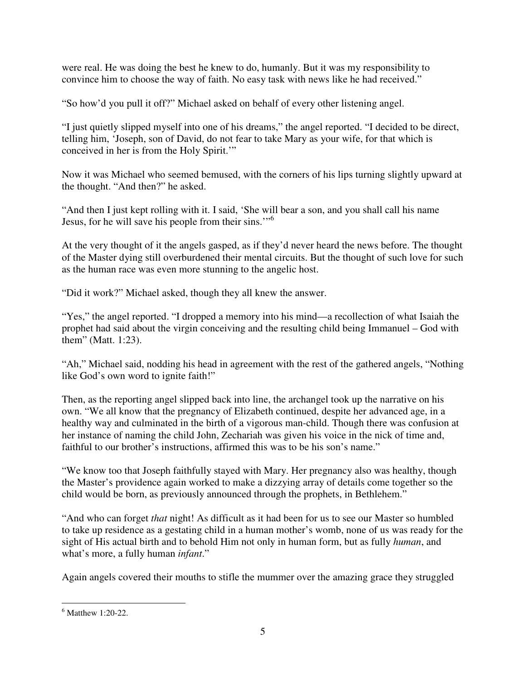were real. He was doing the best he knew to do, humanly. But it was my responsibility to convince him to choose the way of faith. No easy task with news like he had received."

"So how'd you pull it off?" Michael asked on behalf of every other listening angel.

"I just quietly slipped myself into one of his dreams," the angel reported. "I decided to be direct, telling him, 'Joseph, son of David, do not fear to take Mary as your wife, for that which is conceived in her is from the Holy Spirit.'"

Now it was Michael who seemed bemused, with the corners of his lips turning slightly upward at the thought. "And then?" he asked.

"And then I just kept rolling with it. I said, 'She will bear a son, and you shall call his name Jesus, for he will save his people from their sins."<sup>6</sup>

At the very thought of it the angels gasped, as if they'd never heard the news before. The thought of the Master dying still overburdened their mental circuits. But the thought of such love for such as the human race was even more stunning to the angelic host.

"Did it work?" Michael asked, though they all knew the answer.

"Yes," the angel reported. "I dropped a memory into his mind—a recollection of what Isaiah the prophet had said about the virgin conceiving and the resulting child being Immanuel – God with them" (Matt. 1:23).

"Ah," Michael said, nodding his head in agreement with the rest of the gathered angels, "Nothing like God's own word to ignite faith!"

Then, as the reporting angel slipped back into line, the archangel took up the narrative on his own. "We all know that the pregnancy of Elizabeth continued, despite her advanced age, in a healthy way and culminated in the birth of a vigorous man-child. Though there was confusion at her instance of naming the child John, Zechariah was given his voice in the nick of time and, faithful to our brother's instructions, affirmed this was to be his son's name."

"We know too that Joseph faithfully stayed with Mary. Her pregnancy also was healthy, though the Master's providence again worked to make a dizzying array of details come together so the child would be born, as previously announced through the prophets, in Bethlehem."

"And who can forget *that* night! As difficult as it had been for us to see our Master so humbled to take up residence as a gestating child in a human mother's womb, none of us was ready for the sight of His actual birth and to behold Him not only in human form, but as fully *human*, and what's more, a fully human *infant*."

Again angels covered their mouths to stifle the mummer over the amazing grace they struggled

<sup>-</sup>6 Matthew 1:20-22.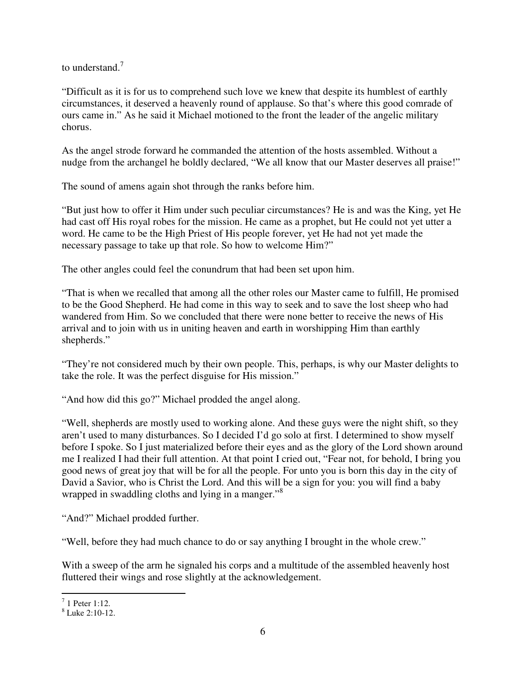to understand. $<sup>7</sup>$ </sup>

"Difficult as it is for us to comprehend such love we knew that despite its humblest of earthly circumstances, it deserved a heavenly round of applause. So that's where this good comrade of ours came in." As he said it Michael motioned to the front the leader of the angelic military chorus.

As the angel strode forward he commanded the attention of the hosts assembled. Without a nudge from the archangel he boldly declared, "We all know that our Master deserves all praise!"

The sound of amens again shot through the ranks before him.

"But just how to offer it Him under such peculiar circumstances? He is and was the King, yet He had cast off His royal robes for the mission. He came as a prophet, but He could not yet utter a word. He came to be the High Priest of His people forever, yet He had not yet made the necessary passage to take up that role. So how to welcome Him?"

The other angles could feel the conundrum that had been set upon him.

"That is when we recalled that among all the other roles our Master came to fulfill, He promised to be the Good Shepherd. He had come in this way to seek and to save the lost sheep who had wandered from Him. So we concluded that there were none better to receive the news of His arrival and to join with us in uniting heaven and earth in worshipping Him than earthly shepherds."

"They're not considered much by their own people. This, perhaps, is why our Master delights to take the role. It was the perfect disguise for His mission."

"And how did this go?" Michael prodded the angel along.

"Well, shepherds are mostly used to working alone. And these guys were the night shift, so they aren't used to many disturbances. So I decided I'd go solo at first. I determined to show myself before I spoke. So I just materialized before their eyes and as the glory of the Lord shown around me I realized I had their full attention. At that point I cried out, "Fear not, for behold, I bring you good news of great joy that will be for all the people. For unto you is born this day in the city of David a Savior, who is Christ the Lord. And this will be a sign for you: you will find a baby wrapped in swaddling cloths and lying in a manger."<sup>8</sup>

"And?" Michael prodded further.

"Well, before they had much chance to do or say anything I brought in the whole crew."

With a sweep of the arm he signaled his corps and a multitude of the assembled heavenly host fluttered their wings and rose slightly at the acknowledgement.

 $\frac{1}{1}$  Peter 1:12.

<sup>8</sup> Luke 2:10-12.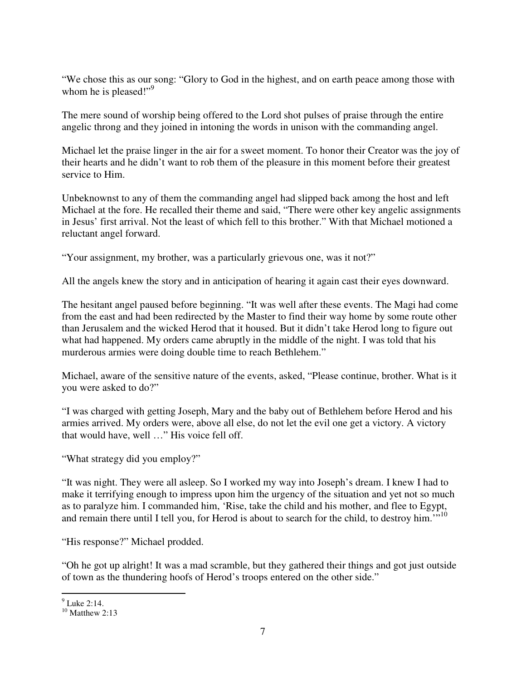"We chose this as our song: "Glory to God in the highest, and on earth peace among those with whom he is pleased!"<sup>9</sup>

The mere sound of worship being offered to the Lord shot pulses of praise through the entire angelic throng and they joined in intoning the words in unison with the commanding angel.

Michael let the praise linger in the air for a sweet moment. To honor their Creator was the joy of their hearts and he didn't want to rob them of the pleasure in this moment before their greatest service to Him.

Unbeknownst to any of them the commanding angel had slipped back among the host and left Michael at the fore. He recalled their theme and said, "There were other key angelic assignments in Jesus' first arrival. Not the least of which fell to this brother." With that Michael motioned a reluctant angel forward.

"Your assignment, my brother, was a particularly grievous one, was it not?"

All the angels knew the story and in anticipation of hearing it again cast their eyes downward.

The hesitant angel paused before beginning. "It was well after these events. The Magi had come from the east and had been redirected by the Master to find their way home by some route other than Jerusalem and the wicked Herod that it housed. But it didn't take Herod long to figure out what had happened. My orders came abruptly in the middle of the night. I was told that his murderous armies were doing double time to reach Bethlehem."

Michael, aware of the sensitive nature of the events, asked, "Please continue, brother. What is it you were asked to do?"

"I was charged with getting Joseph, Mary and the baby out of Bethlehem before Herod and his armies arrived. My orders were, above all else, do not let the evil one get a victory. A victory that would have, well …" His voice fell off.

"What strategy did you employ?"

"It was night. They were all asleep. So I worked my way into Joseph's dream. I knew I had to make it terrifying enough to impress upon him the urgency of the situation and yet not so much as to paralyze him. I commanded him, 'Rise, take the child and his mother, and flee to Egypt, and remain there until I tell you, for Herod is about to search for the child, to destroy him."<sup>10</sup>

"His response?" Michael prodded.

"Oh he got up alright! It was a mad scramble, but they gathered their things and got just outside of town as the thundering hoofs of Herod's troops entered on the other side."

 $\frac{9}{9}$  Luke 2:14.

 $10$  Matthew 2:13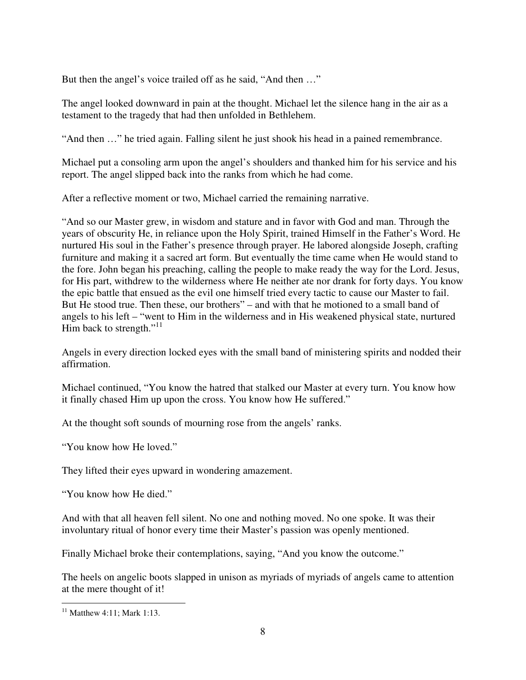But then the angel's voice trailed off as he said, "And then …"

The angel looked downward in pain at the thought. Michael let the silence hang in the air as a testament to the tragedy that had then unfolded in Bethlehem.

"And then …" he tried again. Falling silent he just shook his head in a pained remembrance.

Michael put a consoling arm upon the angel's shoulders and thanked him for his service and his report. The angel slipped back into the ranks from which he had come.

After a reflective moment or two, Michael carried the remaining narrative.

"And so our Master grew, in wisdom and stature and in favor with God and man. Through the years of obscurity He, in reliance upon the Holy Spirit, trained Himself in the Father's Word. He nurtured His soul in the Father's presence through prayer. He labored alongside Joseph, crafting furniture and making it a sacred art form. But eventually the time came when He would stand to the fore. John began his preaching, calling the people to make ready the way for the Lord. Jesus, for His part, withdrew to the wilderness where He neither ate nor drank for forty days. You know the epic battle that ensued as the evil one himself tried every tactic to cause our Master to fail. But He stood true. Then these, our brothers" – and with that he motioned to a small band of angels to his left – "went to Him in the wilderness and in His weakened physical state, nurtured Him back to strength."<sup>11</sup>

Angels in every direction locked eyes with the small band of ministering spirits and nodded their affirmation.

Michael continued, "You know the hatred that stalked our Master at every turn. You know how it finally chased Him up upon the cross. You know how He suffered."

At the thought soft sounds of mourning rose from the angels' ranks.

"You know how He loved."

They lifted their eyes upward in wondering amazement.

"You know how He died."

And with that all heaven fell silent. No one and nothing moved. No one spoke. It was their involuntary ritual of honor every time their Master's passion was openly mentioned.

Finally Michael broke their contemplations, saying, "And you know the outcome."

The heels on angelic boots slapped in unison as myriads of myriads of angels came to attention at the mere thought of it!

-

 $11$  Matthew 4:11; Mark 1:13.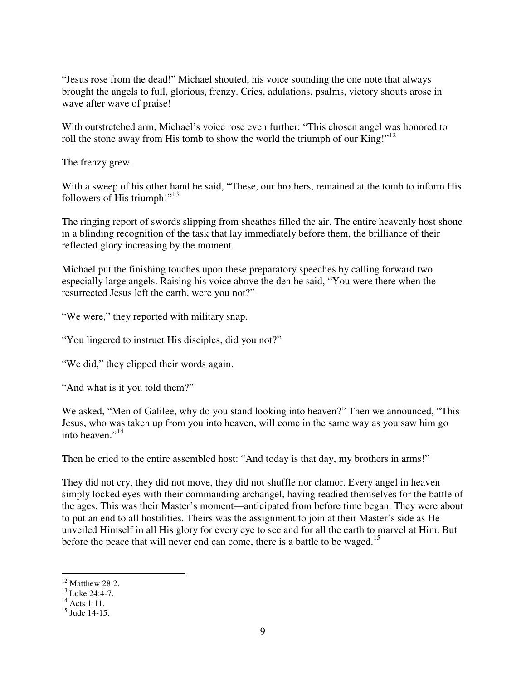"Jesus rose from the dead!" Michael shouted, his voice sounding the one note that always brought the angels to full, glorious, frenzy. Cries, adulations, psalms, victory shouts arose in wave after wave of praise!

With outstretched arm, Michael's voice rose even further: "This chosen angel was honored to roll the stone away from His tomb to show the world the triumph of our King!"<sup>12</sup>

The frenzy grew.

With a sweep of his other hand he said, "These, our brothers, remained at the tomb to inform His followers of His triumph!"<sup>13</sup>

The ringing report of swords slipping from sheathes filled the air. The entire heavenly host shone in a blinding recognition of the task that lay immediately before them, the brilliance of their reflected glory increasing by the moment.

Michael put the finishing touches upon these preparatory speeches by calling forward two especially large angels. Raising his voice above the den he said, "You were there when the resurrected Jesus left the earth, were you not?"

"We were," they reported with military snap.

"You lingered to instruct His disciples, did you not?"

"We did," they clipped their words again.

"And what is it you told them?"

We asked, "Men of Galilee, why do you stand looking into heaven?" Then we announced, "This Jesus, who was taken up from you into heaven, will come in the same way as you saw him go into heaven."<sup>14</sup>

Then he cried to the entire assembled host: "And today is that day, my brothers in arms!"

They did not cry, they did not move, they did not shuffle nor clamor. Every angel in heaven simply locked eyes with their commanding archangel, having readied themselves for the battle of the ages. This was their Master's moment—anticipated from before time began. They were about to put an end to all hostilities. Theirs was the assignment to join at their Master's side as He unveiled Himself in all His glory for every eye to see and for all the earth to marvel at Him. But before the peace that will never end can come, there is a battle to be waged.<sup>15</sup>

 $\overline{a}$ 

 $12$  Matthew 28:2.

 $13$  Luke 24:4-7.

 $^{14}$  Acts 1:11.

 $15$  Jude 14-15.